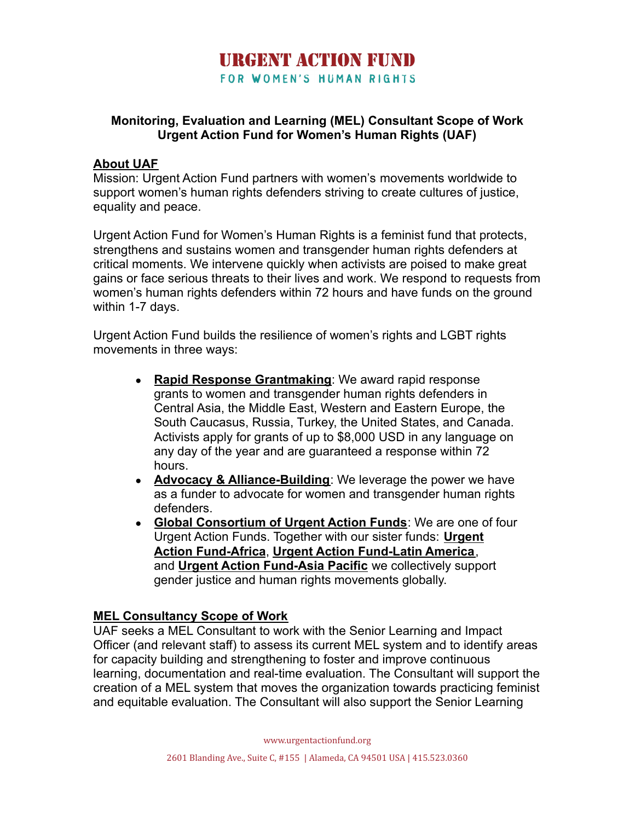### **HRGENT ACTION FIIND** FOR WOMEN'S HUMAN RIGHTS

#### **Monitoring, Evaluation and Learning (MEL) Consultant Scope of Work Urgent Action Fund for Women's Human Rights (UAF)**

#### **About UAF**

Mission: Urgent Action Fund partners with women's movements worldwide to support women's human rights defenders striving to create cultures of justice, equality and peace.

Urgent Action Fund for Women's Human Rights is a feminist fund that protects, strengthens and sustains women and transgender human rights defenders at critical moments. We intervene quickly when activists are poised to make great gains or face serious threats to their lives and work. We respond to requests from women's human rights defenders within 72 hours and have funds on the ground within 1-7 days.

Urgent Action Fund builds the resilience of women's rights and LGBT rights movements in three ways:

- **[Rapid Response Grantmaking](https://urgentactionfund.org/what-we-do/rapid-response-grantmaking/)**: We award rapid response grants to women and transgender human rights defenders in Central Asia, the Middle East, Western and Eastern Europe, the South Caucasus, Russia, Turkey, the United States, and Canada. Activists apply for grants of up to \$8,000 USD in any language on any day of the year and are guaranteed a response within 72 hours.
- **[Advocacy & Alliance-Building](https://urgentactionfund.org/what-we-do/advocacy-alliance-building/)**: We leverage the power we have as a funder to advocate for women and transgender human rights defenders.
- **[Global Consortium of Urgent Action Funds](https://urgentactionfund.org/who-we-are/uaf-sister-funds/)**: We are one of four Urgent Action Funds. Together with our sister funds: **[Urgent](https://www.uaf-africa.org/en/) [Action Fund-Africa](https://www.uaf-africa.org/en/)**, **[Urgent Action Fund-Latin America](http://www.fondoaccionurgente.org.co/)**, and **[Urgent Action Fund-Asia Pacific](https://uafanp.org/)** we collectively support gender justice and human rights movements globally.

#### **MEL Consultancy Scope of Work**

UAF seeks a MEL Consultant to work with the Senior Learning and Impact Officer (and relevant staff) to assess its current MEL system and to identify areas for capacity building and strengthening to foster and improve continuous learning, documentation and real-time evaluation. The Consultant will support the creation of a MEL system that moves the organization towards practicing feminist and equitable evaluation. The Consultant will also support the Senior Learning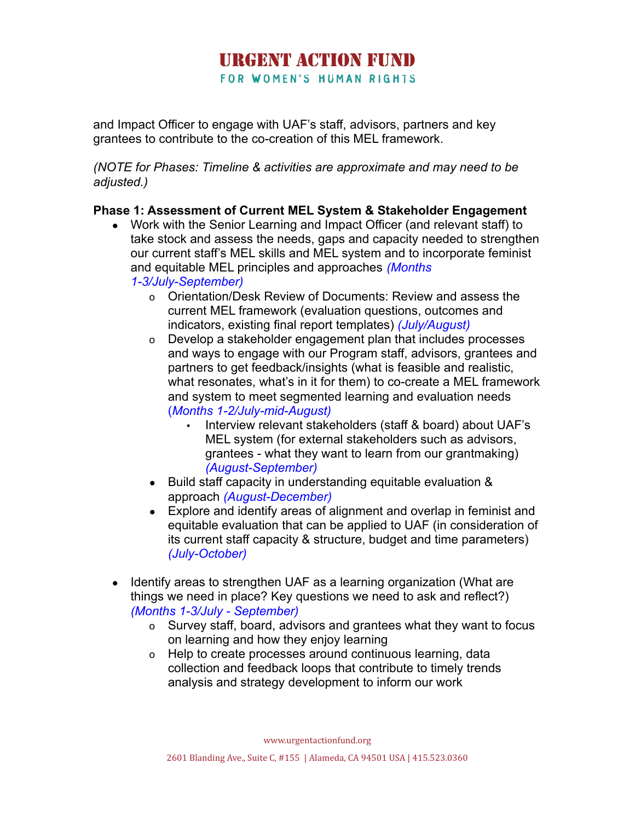# **HRGENT ACTION FIIND**

FOR WOMEN'S HUMAN RIGHTS

and Impact Officer to engage with UAF's staff, advisors, partners and key grantees to contribute to the co-creation of this MEL framework.

*(NOTE for Phases: Timeline & activities are approximate and may need to be adjusted.)*

### **Phase 1: Assessment of Current MEL System & Stakeholder Engagement**

- Work with the Senior Learning and Impact Officer (and relevant staff) to take stock and assess the needs, gaps and capacity needed to strengthen our current staff's MEL skills and MEL system and to incorporate feminist and equitable MEL principles and approaches *(Months 1-3/July-September)*
	- o Orientation/Desk Review of Documents: Review and assess the current MEL framework (evaluation questions, outcomes and indicators, existing final report templates) *(July/August)*
	- o Develop a stakeholder engagement plan that includes processes and ways to engage with our Program staff, advisors, grantees and partners to get feedback/insights (what is feasible and realistic, what resonates, what's in it for them) to co-create a MEL framework and system to meet segmented learning and evaluation needs (*Months 1-2/July-mid-August)*
		- Interview relevant stakeholders (staff & board) about UAF's MEL system (for external stakeholders such as advisors, grantees - what they want to learn from our grantmaking) *(August-September)*
	- Build staff capacity in understanding equitable evaluation & approach *(August-December)*
	- Explore and identify areas of alignment and overlap in feminist and equitable evaluation that can be applied to UAF (in consideration of its current staff capacity & structure, budget and time parameters) *(July-October)*
- Identify areas to strengthen UAF as a learning organization (What are things we need in place? Key questions we need to ask and reflect?) *(Months 1-3/July - September)*
	- o Survey staff, board, advisors and grantees what they want to focus on learning and how they enjoy learning
	- o Help to create processes around continuous learning, data collection and feedback loops that contribute to timely trends analysis and strategy development to inform our work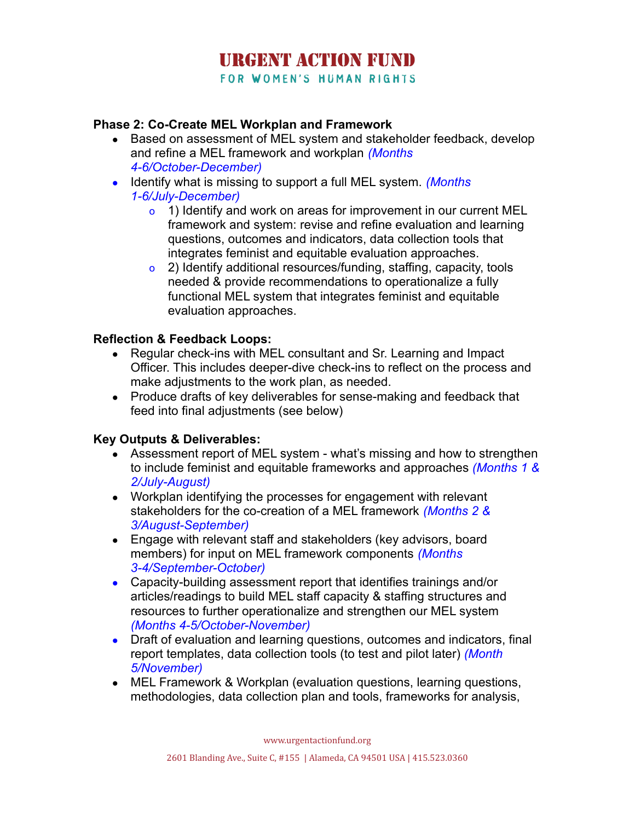# **HRGENT ACTION FIIND**

FOR WOMEN'S HUMAN RIGHTS

#### **Phase 2: Co-Create MEL Workplan and Framework**

- Based on assessment of MEL system and stakeholder feedback, develop and refine a MEL framework and workplan *(Months 4-6/October-December)*
- Identify what is missing to support a full MEL system. *(Months 1-6/July-December)*
	- o 1) Identify and work on areas for improvement in our current MEL framework and system: revise and refine evaluation and learning questions, outcomes and indicators, data collection tools that integrates feminist and equitable evaluation approaches.
	- o 2) Identify additional resources/funding, staffing, capacity, tools needed & provide recommendations to operationalize a fully functional MEL system that integrates feminist and equitable evaluation approaches.

#### **Reflection & Feedback Loops:**

- Regular check-ins with MEL consultant and Sr. Learning and Impact Officer. This includes deeper-dive check-ins to reflect on the process and make adjustments to the work plan, as needed.
- Produce drafts of key deliverables for sense-making and feedback that feed into final adjustments (see below)

#### **Key Outputs & Deliverables:**

- Assessment report of MEL system what's missing and how to strengthen to include feminist and equitable frameworks and approaches *(Months 1 & 2/July-August)*
- *●* Workplan identifying the processes for engagement with relevant stakeholders for the co-creation of a MEL framework *(Months 2 & 3/August-September)*
- Engage with relevant staff and stakeholders (key advisors, board members) for input on MEL framework components *(Months 3-4/September-October)*
- Capacity-building assessment report that identifies trainings and/or articles/readings to build MEL staff capacity & staffing structures and resources to further operationalize and strengthen our MEL system *(Months 4-5/October-November)*
- *●* Draft of evaluation and learning questions, outcomes and indicators, final report templates, data collection tools (to test and pilot later) *(Month 5/November)*
- MEL Framework & Workplan (evaluation questions, learning questions, methodologies, data collection plan and tools, frameworks for analysis,

www.urgentactionfund.org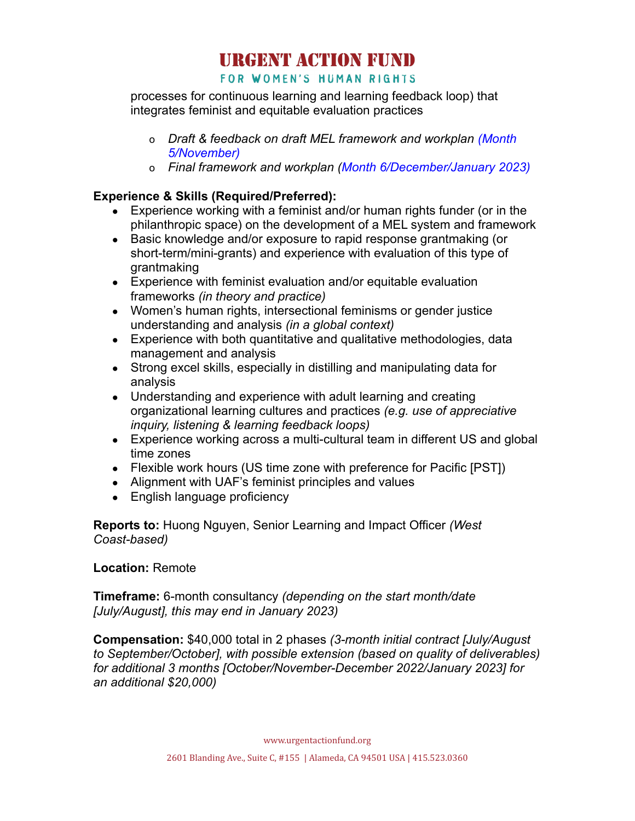# **URGENT ACTION FUND**

#### FOR WOMEN'S HUMAN RIGHTS

processes for continuous learning and learning feedback loop) that integrates feminist and equitable evaluation practices

- o *Draft & feedback on draft MEL framework and workplan (Month 5/November)*
- o *Final framework and workplan (Month 6/December/January 2023)*

#### **Experience & Skills (Required/Preferred):**

- Experience working with a feminist and/or human rights funder (or in the philanthropic space) on the development of a MEL system and framework
- Basic knowledge and/or exposure to rapid response grantmaking (or short-term/mini-grants) and experience with evaluation of this type of grantmaking
- Experience with feminist evaluation and/or equitable evaluation frameworks *(in theory and practice)*
- Women's human rights, intersectional feminisms or gender justice understanding and analysis *(in a global context)*
- Experience with both quantitative and qualitative methodologies, data management and analysis
- Strong excel skills, especially in distilling and manipulating data for analysis
- *●* Understanding and experience with adult learning and creating organizational learning cultures and practices *(e.g. use of appreciative inquiry, listening & learning feedback loops)*
- Experience working across a multi-cultural team in different US and global time zones
- Flexible work hours (US time zone with preference for Pacific [PST])
- Alignment with UAF's feminist principles and values
- English language proficiency

**Reports to:** Huong Nguyen, Senior Learning and Impact Officer *(West Coast-based)*

#### **Location:** Remote

**Timeframe:** 6-month consultancy *(depending on the start month/date [July/August], this may end in January 2023)*

**Compensation:** \$40,000 total in 2 phases *(3-month initial contract [July/August to September/October], with possible extension (based on quality of deliverables) for additional 3 months [October/November-December 2022/January 2023] for an additional \$20,000)*